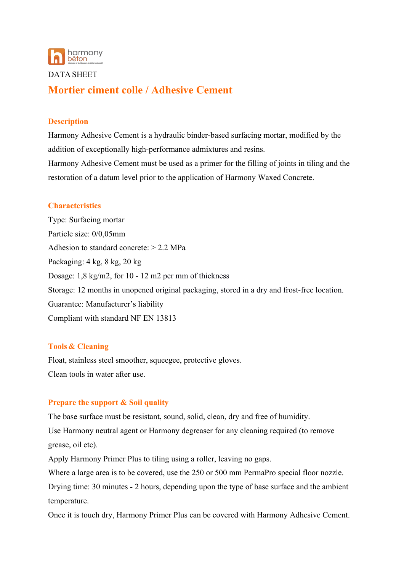

#### DATA SHEET

# **Mortier ciment colle / Adhesive Cement**

### **Description**

Harmony Adhesive Cement is a hydraulic binder-based surfacing mortar, modified by the addition of exceptionally high-performance admixtures and resins.

Harmony Adhesive Cement must be used as a primer for the filling of joints in tiling and the restoration of a datum level prior to the application of Harmony Waxed Concrete.

#### **Characteristics**

Type: Surfacing mortar Particle size: 0/0,05mm Adhesion to standard concrete: > 2.2 MPa Packaging: 4 kg, 8 kg, 20 kg Dosage: 1,8 kg/m2, for 10 - 12 m2 per mm of thickness Storage: 12 months in unopened original packaging, stored in a dry and frost-free location. Guarantee: Manufacturer's liability Compliant with standard NF EN 13813

#### **Tools & Cleaning**

Float, stainless steel smoother, squeegee, protective gloves. Clean tools in water after use.

## **Prepare the support & Soil quality**

The base surface must be resistant, sound, solid, clean, dry and free of humidity.

Use Harmony neutral agent or Harmony degreaser for any cleaning required (to remove grease, oil etc).

Apply Harmony Primer Plus to tiling using a roller, leaving no gaps.

Where a large area is to be covered, use the 250 or 500 mm PermaPro special floor nozzle.

Drying time: 30 minutes - 2 hours, depending upon the type of base surface and the ambient temperature.

Once it is touch dry, Harmony Primer Plus can be covered with Harmony Adhesive Cement.